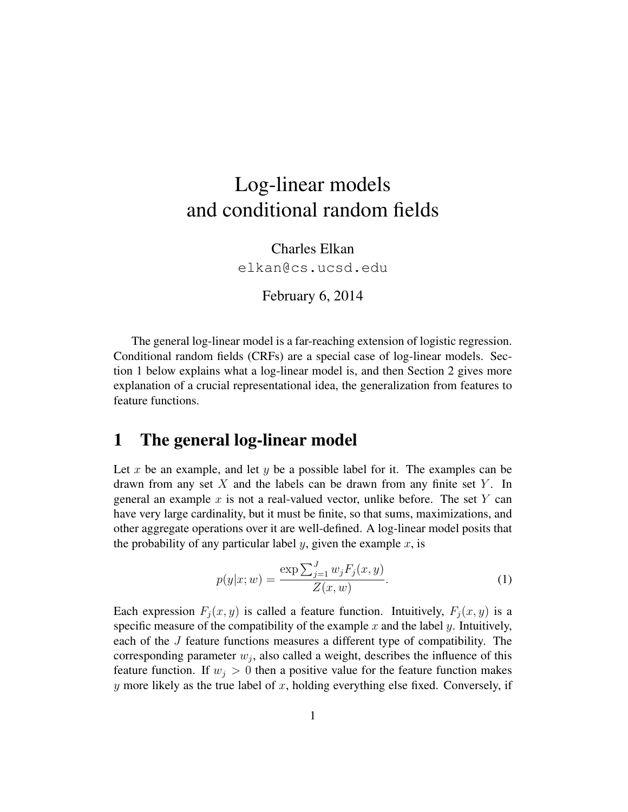# Log-linear models and conditional random fields

Charles Elkan elkan@cs.ucsd.edu

February 6, 2014

The general log-linear model is a far-reaching extension of logistic regression. Conditional random fields (CRFs) are a special case of log-linear models. Section 1 below explains what a log-linear model is, and then Section 2 gives more explanation of a crucial representational idea, the generalization from features to feature functions.

### 1 The general log-linear model

Let x be an example, and let y be a possible label for it. The examples can be drawn from any set  $X$  and the labels can be drawn from any finite set  $Y$ . In general an example x is not a real-valued vector, unlike before. The set  $Y$  can have very large cardinality, but it must be finite, so that sums, maximizations, and other aggregate operations over it are well-defined. A log-linear model posits that the probability of any particular label y, given the example  $x$ , is

$$
p(y|x;w) = \frac{\exp\sum_{j=1}^{J} w_j F_j(x,y)}{Z(x,w)}.
$$
 (1)

Each expression  $F_i(x, y)$  is called a feature function. Intuitively,  $F_i(x, y)$  is a specific measure of the compatibility of the example  $x$  and the label  $y$ . Intuitively, each of the J feature functions measures a different type of compatibility. The corresponding parameter  $w_j$ , also called a weight, describes the influence of this feature function. If  $w_j > 0$  then a positive value for the feature function makes  $y$  more likely as the true label of  $x$ , holding everything else fixed. Conversely, if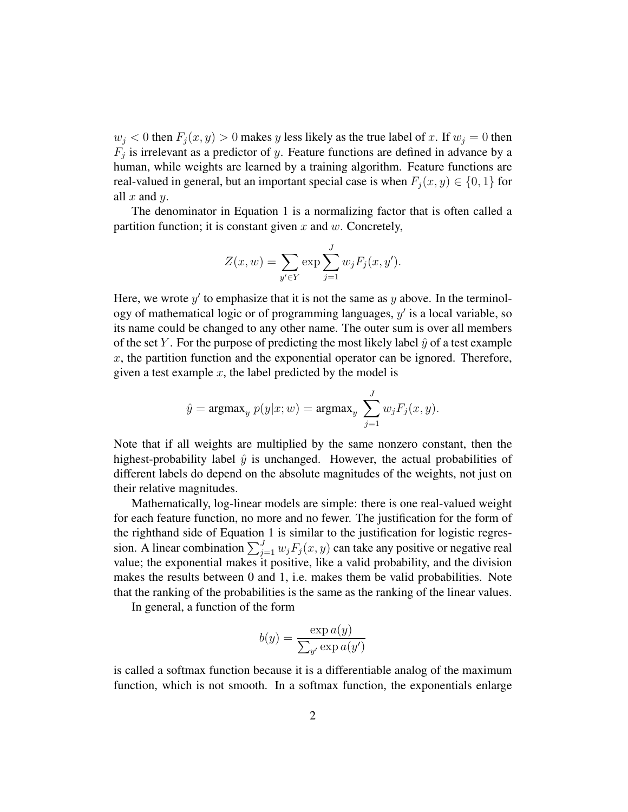$w_j < 0$  then  $F_j(x, y) > 0$  makes y less likely as the true label of x. If  $w_j = 0$  then  $F_j$  is irrelevant as a predictor of y. Feature functions are defined in advance by a human, while weights are learned by a training algorithm. Feature functions are real-valued in general, but an important special case is when  $F_i(x, y) \in \{0, 1\}$  for all  $x$  and  $y$ .

The denominator in Equation 1 is a normalizing factor that is often called a partition function; it is constant given  $x$  and  $w$ . Concretely,

$$
Z(x, w) = \sum_{y' \in Y} \exp \sum_{j=1}^{J} w_j F_j(x, y').
$$

Here, we wrote  $y'$  to emphasize that it is not the same as  $y$  above. In the terminology of mathematical logic or of programming languages,  $y'$  is a local variable, so its name could be changed to any other name. The outer sum is over all members of the set Y. For the purpose of predicting the most likely label  $\hat{y}$  of a test example  $x$ , the partition function and the exponential operator can be ignored. Therefore, given a test example  $x$ , the label predicted by the model is

$$
\hat{y} = \operatorname{argmax}_y p(y|x; w) = \operatorname{argmax}_y \sum_{j=1}^J w_j F_j(x, y).
$$

Note that if all weights are multiplied by the same nonzero constant, then the highest-probability label  $\hat{y}$  is unchanged. However, the actual probabilities of different labels do depend on the absolute magnitudes of the weights, not just on their relative magnitudes.

Mathematically, log-linear models are simple: there is one real-valued weight for each feature function, no more and no fewer. The justification for the form of the righthand side of Equation 1 is similar to the justification for logistic regression. A linear combination  $\sum_{j=1}^{J} w_j F_j(x, y)$  can take any positive or negative real value; the exponential makes it positive, like a valid probability, and the division makes the results between 0 and 1, i.e. makes them be valid probabilities. Note that the ranking of the probabilities is the same as the ranking of the linear values.

In general, a function of the form

$$
b(y) = \frac{\exp a(y)}{\sum_{y'} \exp a(y')}
$$

is called a softmax function because it is a differentiable analog of the maximum function, which is not smooth. In a softmax function, the exponentials enlarge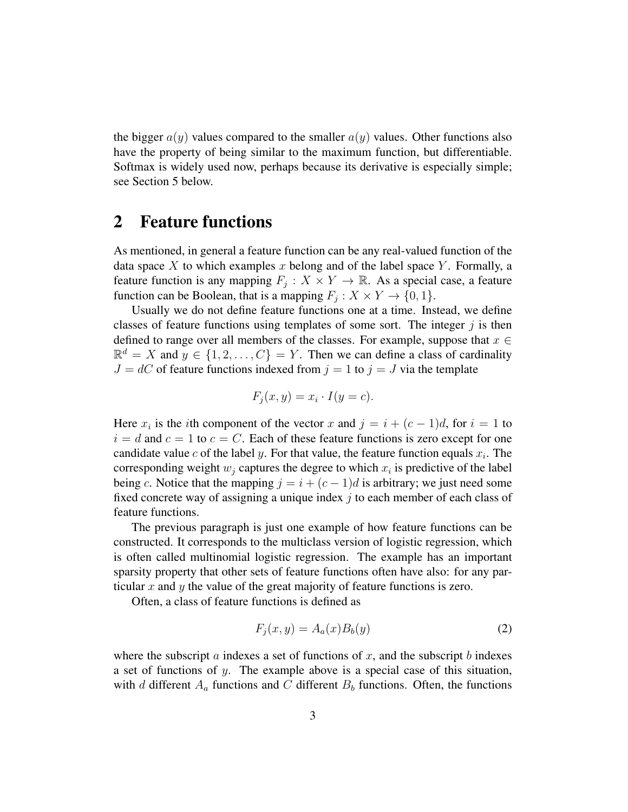the bigger  $a(y)$  values compared to the smaller  $a(y)$  values. Other functions also have the property of being similar to the maximum function, but differentiable. Softmax is widely used now, perhaps because its derivative is especially simple; see Section 5 below.

# 2 Feature functions

As mentioned, in general a feature function can be any real-valued function of the data space X to which examples x belong and of the label space Y. Formally, a feature function is any mapping  $F_j: X \times Y \to \mathbb{R}$ . As a special case, a feature function can be Boolean, that is a mapping  $F_j : X \times Y \to \{0, 1\}.$ 

Usually we do not define feature functions one at a time. Instead, we define classes of feature functions using templates of some sort. The integer  $j$  is then defined to range over all members of the classes. For example, suppose that  $x \in$  $\mathbb{R}^d = X$  and  $y \in \{1, 2, ..., C\} = Y$ . Then we can define a class of cardinality  $J = dC$  of feature functions indexed from  $j = 1$  to  $j = J$  via the template

$$
F_j(x, y) = x_i \cdot I(y = c).
$$

Here  $x_i$  is the *i*th component of the vector x and  $j = i + (c - 1)d$ , for  $i = 1$  to  $i = d$  and  $c = 1$  to  $c = C$ . Each of these feature functions is zero except for one candidate value c of the label y. For that value, the feature function equals  $x_i$ . The corresponding weight  $w_j$  captures the degree to which  $x_i$  is predictive of the label being c. Notice that the mapping  $j = i + (c - 1)d$  is arbitrary; we just need some fixed concrete way of assigning a unique index  $\dot{\gamma}$  to each member of each class of feature functions.

The previous paragraph is just one example of how feature functions can be constructed. It corresponds to the multiclass version of logistic regression, which is often called multinomial logistic regression. The example has an important sparsity property that other sets of feature functions often have also: for any particular x and y the value of the great majority of feature functions is zero.

Often, a class of feature functions is defined as

$$
F_j(x, y) = A_a(x)B_b(y)
$$
\n<sup>(2)</sup>

where the subscript a indexes a set of functions of x, and the subscript b indexes a set of functions of y. The example above is a special case of this situation, with d different  $A_a$  functions and C different  $B_b$  functions. Often, the functions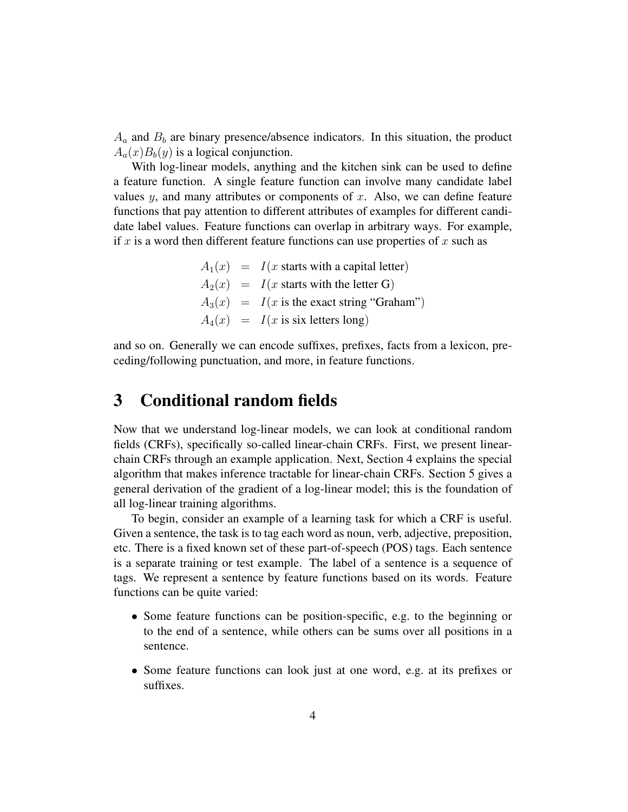$A_a$  and  $B_b$  are binary presence/absence indicators. In this situation, the product  $A_a(x)B_b(y)$  is a logical conjunction.

With log-linear models, anything and the kitchen sink can be used to define a feature function. A single feature function can involve many candidate label values  $y$ , and many attributes or components of  $x$ . Also, we can define feature functions that pay attention to different attributes of examples for different candidate label values. Feature functions can overlap in arbitrary ways. For example, if x is a word then different feature functions can use properties of x such as

> $A_1(x) = I(x$  starts with a capital letter)  $A_2(x) = I(x$  starts with the letter G)  $A_3(x) = I(x$  is the exact string "Graham")  $A_4(x) = I(x \text{ is six letters long})$

and so on. Generally we can encode suffixes, prefixes, facts from a lexicon, preceding/following punctuation, and more, in feature functions.

# 3 Conditional random fields

Now that we understand log-linear models, we can look at conditional random fields (CRFs), specifically so-called linear-chain CRFs. First, we present linearchain CRFs through an example application. Next, Section 4 explains the special algorithm that makes inference tractable for linear-chain CRFs. Section 5 gives a general derivation of the gradient of a log-linear model; this is the foundation of all log-linear training algorithms.

To begin, consider an example of a learning task for which a CRF is useful. Given a sentence, the task is to tag each word as noun, verb, adjective, preposition, etc. There is a fixed known set of these part-of-speech (POS) tags. Each sentence is a separate training or test example. The label of a sentence is a sequence of tags. We represent a sentence by feature functions based on its words. Feature functions can be quite varied:

- Some feature functions can be position-specific, e.g. to the beginning or to the end of a sentence, while others can be sums over all positions in a sentence.
- Some feature functions can look just at one word, e.g. at its prefixes or suffixes.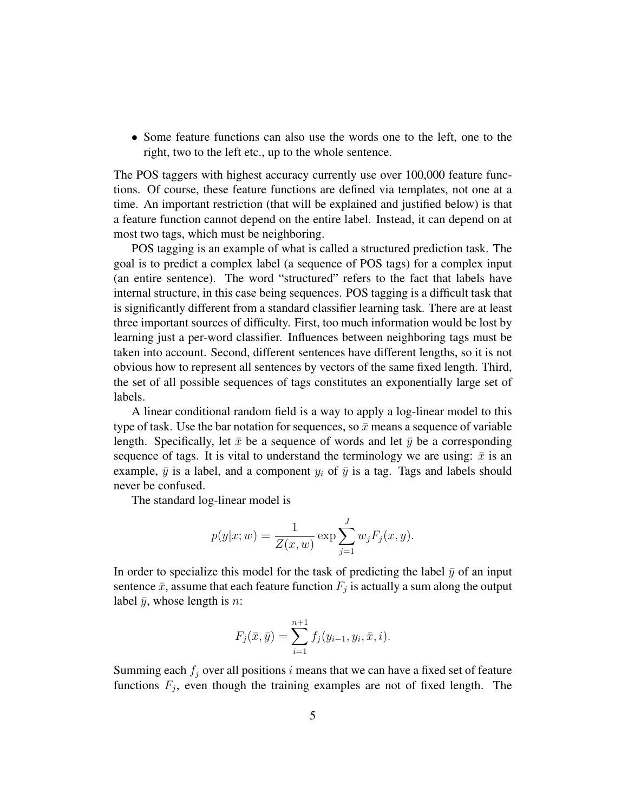• Some feature functions can also use the words one to the left, one to the right, two to the left etc., up to the whole sentence.

The POS taggers with highest accuracy currently use over 100,000 feature functions. Of course, these feature functions are defined via templates, not one at a time. An important restriction (that will be explained and justified below) is that a feature function cannot depend on the entire label. Instead, it can depend on at most two tags, which must be neighboring.

POS tagging is an example of what is called a structured prediction task. The goal is to predict a complex label (a sequence of POS tags) for a complex input (an entire sentence). The word "structured" refers to the fact that labels have internal structure, in this case being sequences. POS tagging is a difficult task that is significantly different from a standard classifier learning task. There are at least three important sources of difficulty. First, too much information would be lost by learning just a per-word classifier. Influences between neighboring tags must be taken into account. Second, different sentences have different lengths, so it is not obvious how to represent all sentences by vectors of the same fixed length. Third, the set of all possible sequences of tags constitutes an exponentially large set of labels.

A linear conditional random field is a way to apply a log-linear model to this type of task. Use the bar notation for sequences, so  $\bar{x}$  means a sequence of variable length. Specifically, let  $\bar{x}$  be a sequence of words and let  $\bar{y}$  be a corresponding sequence of tags. It is vital to understand the terminology we are using:  $\bar{x}$  is an example,  $\bar{y}$  is a label, and a component  $y_i$  of  $\bar{y}$  is a tag. Tags and labels should never be confused.

The standard log-linear model is

$$
p(y|x; w) = \frac{1}{Z(x, w)} \exp \sum_{j=1}^{J} w_j F_j(x, y).
$$

In order to specialize this model for the task of predicting the label  $\bar{y}$  of an input sentence  $\bar{x}$ , assume that each feature function  $F_j$  is actually a sum along the output label  $\bar{y}$ , whose length is *n*:

$$
F_j(\bar{x}, \bar{y}) = \sum_{i=1}^{n+1} f_j(y_{i-1}, y_i, \bar{x}, i).
$$

Summing each  $f_i$  over all positions i means that we can have a fixed set of feature functions  $F_j$ , even though the training examples are not of fixed length. The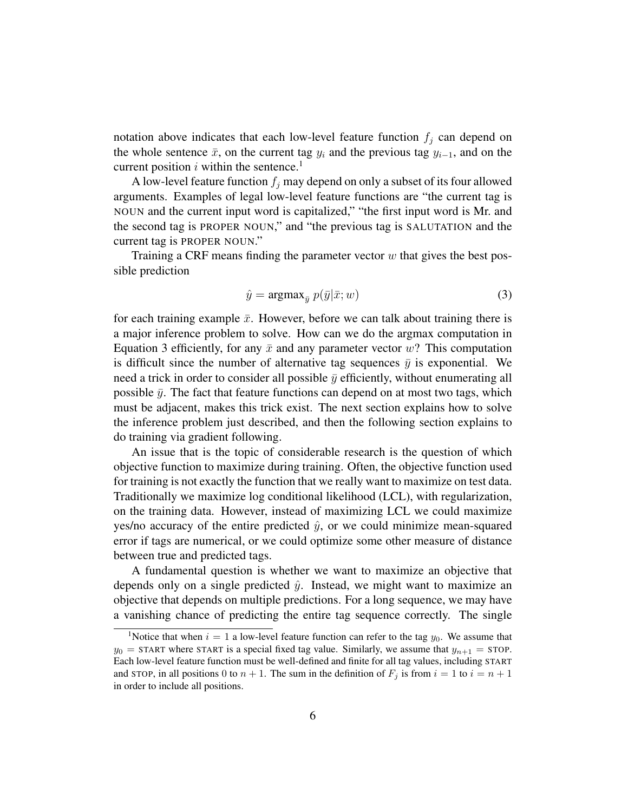notation above indicates that each low-level feature function  $f_i$  can depend on the whole sentence  $\bar{x}$ , on the current tag  $y_i$  and the previous tag  $y_{i-1}$ , and on the current position  $i$  within the sentence.<sup>1</sup>

A low-level feature function  $f_i$  may depend on only a subset of its four allowed arguments. Examples of legal low-level feature functions are "the current tag is NOUN and the current input word is capitalized," "the first input word is Mr. and the second tag is PROPER NOUN," and "the previous tag is SALUTATION and the current tag is PROPER NOUN."

Training a CRF means finding the parameter vector  $w$  that gives the best possible prediction

$$
\hat{y} = \operatorname{argmax}_{\bar{y}} p(\bar{y}|\bar{x}; w)
$$
\n(3)

for each training example  $\bar{x}$ . However, before we can talk about training there is a major inference problem to solve. How can we do the argmax computation in Equation 3 efficiently, for any  $\bar{x}$  and any parameter vector w? This computation is difficult since the number of alternative tag sequences  $\bar{y}$  is exponential. We need a trick in order to consider all possible  $\bar{y}$  efficiently, without enumerating all possible  $\bar{y}$ . The fact that feature functions can depend on at most two tags, which must be adjacent, makes this trick exist. The next section explains how to solve the inference problem just described, and then the following section explains to do training via gradient following.

An issue that is the topic of considerable research is the question of which objective function to maximize during training. Often, the objective function used for training is not exactly the function that we really want to maximize on test data. Traditionally we maximize log conditional likelihood (LCL), with regularization, on the training data. However, instead of maximizing LCL we could maximize yes/no accuracy of the entire predicted  $\hat{y}$ , or we could minimize mean-squared error if tags are numerical, or we could optimize some other measure of distance between true and predicted tags.

A fundamental question is whether we want to maximize an objective that depends only on a single predicted  $\hat{y}$ . Instead, we might want to maximize an objective that depends on multiple predictions. For a long sequence, we may have a vanishing chance of predicting the entire tag sequence correctly. The single

<sup>&</sup>lt;sup>1</sup>Notice that when  $i = 1$  a low-level feature function can refer to the tag  $y_0$ . We assume that  $y_0$  = START where START is a special fixed tag value. Similarly, we assume that  $y_{n+1}$  = STOP. Each low-level feature function must be well-defined and finite for all tag values, including START and STOP, in all positions 0 to  $n + 1$ . The sum in the definition of  $F_i$  is from  $i = 1$  to  $i = n + 1$ in order to include all positions.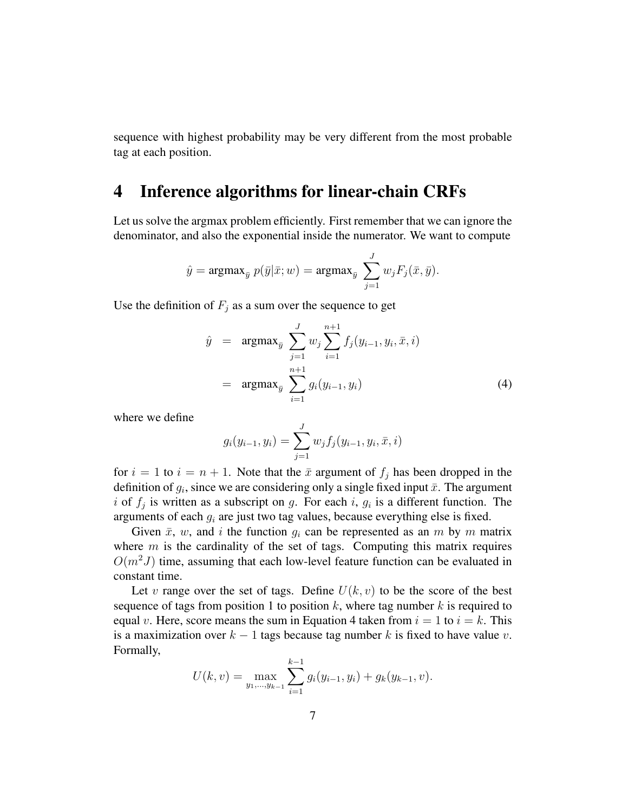sequence with highest probability may be very different from the most probable tag at each position.

## 4 Inference algorithms for linear-chain CRFs

Let us solve the argmax problem efficiently. First remember that we can ignore the denominator, and also the exponential inside the numerator. We want to compute

$$
\hat{y} = \operatorname{argmax}_{\bar{y}} p(\bar{y}|\bar{x}; w) = \operatorname{argmax}_{\bar{y}} \sum_{j=1}^{J} w_j F_j(\bar{x}, \bar{y}).
$$

Use the definition of  $F_i$  as a sum over the sequence to get

$$
\hat{y} = \operatorname{argmax}_{\bar{y}} \sum_{j=1}^{J} w_j \sum_{i=1}^{n+1} f_j(y_{i-1}, y_i, \bar{x}, i)
$$

$$
= \operatorname{argmax}_{\bar{y}} \sum_{i=1}^{n+1} g_i(y_{i-1}, y_i)
$$
(4)

where we define

$$
g_i(y_{i-1}, y_i) = \sum_{j=1}^J w_j f_j(y_{i-1}, y_i, \bar{x}, i)
$$

for  $i = 1$  to  $i = n + 1$ . Note that the  $\bar{x}$  argument of  $f_i$  has been dropped in the definition of  $g_i$ , since we are considering only a single fixed input  $\bar{x}$ . The argument i of  $f_j$  is written as a subscript on g. For each i,  $g_i$  is a different function. The arguments of each  $g_i$  are just two tag values, because everything else is fixed.

Given  $\bar{x}$ , w, and i the function  $g_i$  can be represented as an m by m matrix where  $m$  is the cardinality of the set of tags. Computing this matrix requires  $O(m^2J)$  time, assuming that each low-level feature function can be evaluated in constant time.

Let v range over the set of tags. Define  $U(k, v)$  to be the score of the best sequence of tags from position 1 to position k, where tag number k is required to equal v. Here, score means the sum in Equation 4 taken from  $i = 1$  to  $i = k$ . This is a maximization over  $k - 1$  tags because tag number k is fixed to have value v. Formally,

$$
U(k, v) = \max_{y_1, \dots, y_{k-1}} \sum_{i=1}^{k-1} g_i(y_{i-1}, y_i) + g_k(y_{k-1}, v).
$$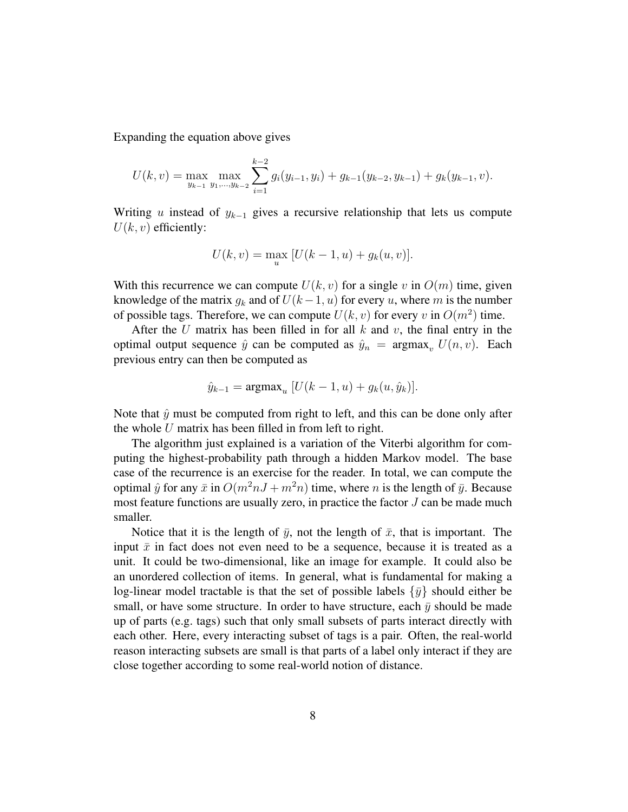Expanding the equation above gives

$$
U(k, v) = \max_{y_{k-1}} \max_{y_1, \dots, y_{k-2}} \sum_{i=1}^{k-2} g_i(y_{i-1}, y_i) + g_{k-1}(y_{k-2}, y_{k-1}) + g_k(y_{k-1}, v).
$$

Writing u instead of  $y_{k-1}$  gives a recursive relationship that lets us compute  $U(k, v)$  efficiently:

$$
U(k, v) = \max_{u} [U(k - 1, u) + g_k(u, v)].
$$

With this recurrence we can compute  $U(k, v)$  for a single v in  $O(m)$  time, given knowledge of the matrix  $g_k$  and of  $U(k-1, u)$  for every u, where m is the number of possible tags. Therefore, we can compute  $U(k, v)$  for every v in  $O(m^2)$  time.

After the U matrix has been filled in for all  $k$  and  $v$ , the final entry in the optimal output sequence  $\hat{y}$  can be computed as  $\hat{y}_n = \argmax_{y} U(n, y)$ . Each previous entry can then be computed as

$$
\hat{y}_{k-1} = \operatorname{argmax}_{u} [U(k-1, u) + g_k(u, \hat{y}_k)].
$$

Note that  $\hat{y}$  must be computed from right to left, and this can be done only after the whole  $U$  matrix has been filled in from left to right.

The algorithm just explained is a variation of the Viterbi algorithm for computing the highest-probability path through a hidden Markov model. The base case of the recurrence is an exercise for the reader. In total, we can compute the optimal  $\hat{y}$  for any  $\bar{x}$  in  $O(m^2nJ + m^2n)$  time, where n is the length of  $\bar{y}$ . Because most feature functions are usually zero, in practice the factor J can be made much smaller.

Notice that it is the length of  $\bar{y}$ , not the length of  $\bar{x}$ , that is important. The input  $\bar{x}$  in fact does not even need to be a sequence, because it is treated as a unit. It could be two-dimensional, like an image for example. It could also be an unordered collection of items. In general, what is fundamental for making a log-linear model tractable is that the set of possible labels  $\{\bar{y}\}\$  should either be small, or have some structure. In order to have structure, each  $\bar{y}$  should be made up of parts (e.g. tags) such that only small subsets of parts interact directly with each other. Here, every interacting subset of tags is a pair. Often, the real-world reason interacting subsets are small is that parts of a label only interact if they are close together according to some real-world notion of distance.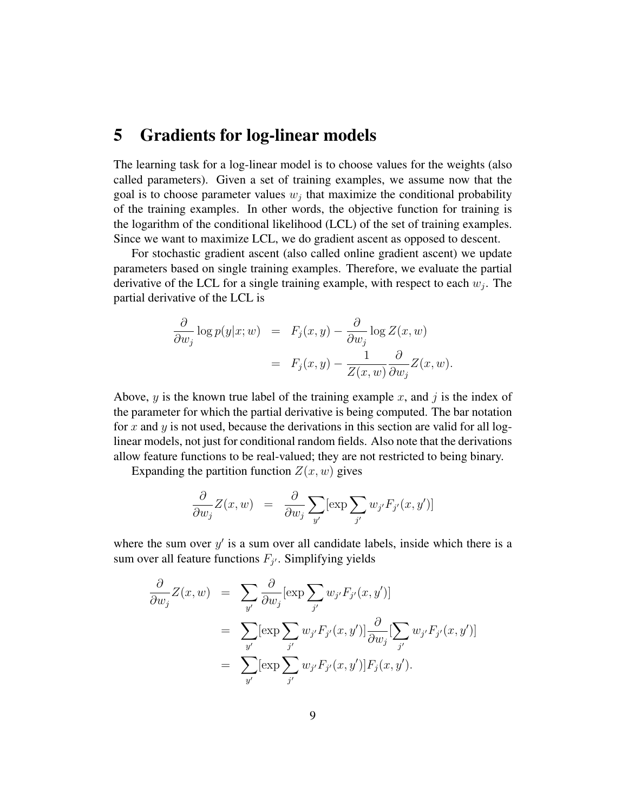#### 5 Gradients for log-linear models

The learning task for a log-linear model is to choose values for the weights (also called parameters). Given a set of training examples, we assume now that the goal is to choose parameter values  $w_j$  that maximize the conditional probability of the training examples. In other words, the objective function for training is the logarithm of the conditional likelihood (LCL) of the set of training examples. Since we want to maximize LCL, we do gradient ascent as opposed to descent.

For stochastic gradient ascent (also called online gradient ascent) we update parameters based on single training examples. Therefore, we evaluate the partial derivative of the LCL for a single training example, with respect to each  $w_j$ . The partial derivative of the LCL is

$$
\frac{\partial}{\partial w_j} \log p(y|x; w) = F_j(x, y) - \frac{\partial}{\partial w_j} \log Z(x, w)
$$

$$
= F_j(x, y) - \frac{1}{Z(x, w)} \frac{\partial}{\partial w_j} Z(x, w).
$$

Above, y is the known true label of the training example x, and j is the index of the parameter for which the partial derivative is being computed. The bar notation for x and y is not used, because the derivations in this section are valid for all loglinear models, not just for conditional random fields. Also note that the derivations allow feature functions to be real-valued; they are not restricted to being binary.

Expanding the partition function  $Z(x, w)$  gives

$$
\frac{\partial}{\partial w_j} Z(x, w) = \frac{\partial}{\partial w_j} \sum_{y'} [\exp \sum_{j'} w_{j'} F_{j'}(x, y')]
$$

where the sum over  $y'$  is a sum over all candidate labels, inside which there is a sum over all feature functions  $F_{j'}$ . Simplifying yields

$$
\frac{\partial}{\partial w_j} Z(x, w) = \sum_{y'} \frac{\partial}{\partial w_j} [\exp \sum_{j'} w_{j'} F_{j'}(x, y')]
$$
  
\n
$$
= \sum_{y'} [\exp \sum_{j'} w_{j'} F_{j'}(x, y')] \frac{\partial}{\partial w_j} [\sum_{j'} w_{j'} F_{j'}(x, y')] \n= \sum_{y'} [\exp \sum_{j'} w_{j'} F_{j'}(x, y')] F_j(x, y').
$$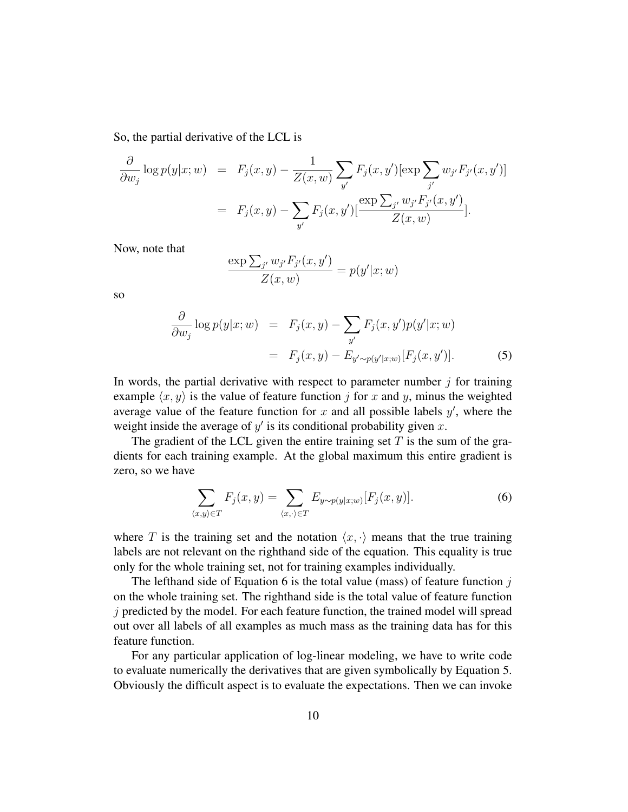So, the partial derivative of the LCL is

$$
\frac{\partial}{\partial w_j} \log p(y|x; w) = F_j(x, y) - \frac{1}{Z(x, w)} \sum_{y'} F_j(x, y') [\exp \sum_{j'} w_{j'} F_{j'}(x, y')]
$$

$$
= F_j(x, y) - \sum_{y'} F_j(x, y') [\frac{\exp \sum_{j'} w_{j'} F_{j'}(x, y')}{Z(x, w)}].
$$

Now, note that

$$
\frac{\exp\sum_{j'} w_{j'} F_{j'}(x, y')}{Z(x, w)} = p(y'|x; w)
$$

so

$$
\frac{\partial}{\partial w_j} \log p(y|x; w) = F_j(x, y) - \sum_{y'} F_j(x, y') p(y'|x; w)
$$

$$
= F_j(x, y) - E_{y' \sim p(y'|x; w)} [F_j(x, y')]. \tag{5}
$$

In words, the partial derivative with respect to parameter number  $j$  for training example  $\langle x, y \rangle$  is the value of feature function j for x and y, minus the weighted average value of the feature function for  $x$  and all possible labels  $y'$ , where the weight inside the average of  $y'$  is its conditional probability given  $x$ .

The gradient of the LCL given the entire training set  $T$  is the sum of the gradients for each training example. At the global maximum this entire gradient is zero, so we have

$$
\sum_{\langle x,y\rangle \in T} F_j(x,y) = \sum_{\langle x,\cdot \rangle \in T} E_{y \sim p(y|x;w)}[F_j(x,y)]. \tag{6}
$$

where T is the training set and the notation  $\langle x, \cdot \rangle$  means that the true training labels are not relevant on the righthand side of the equation. This equality is true only for the whole training set, not for training examples individually.

The lefthand side of Equation 6 is the total value (mass) of feature function  $j$ on the whole training set. The righthand side is the total value of feature function  $j$  predicted by the model. For each feature function, the trained model will spread out over all labels of all examples as much mass as the training data has for this feature function.

For any particular application of log-linear modeling, we have to write code to evaluate numerically the derivatives that are given symbolically by Equation 5. Obviously the difficult aspect is to evaluate the expectations. Then we can invoke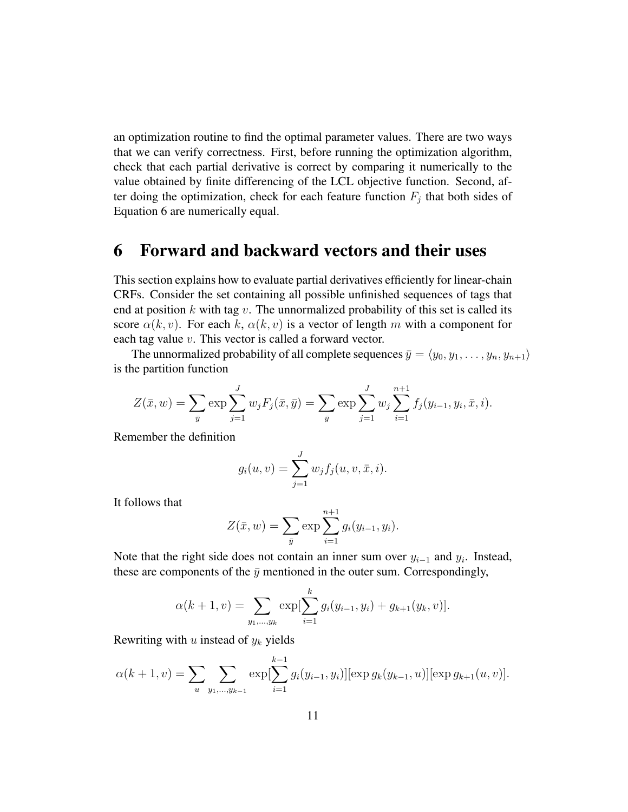an optimization routine to find the optimal parameter values. There are two ways that we can verify correctness. First, before running the optimization algorithm, check that each partial derivative is correct by comparing it numerically to the value obtained by finite differencing of the LCL objective function. Second, after doing the optimization, check for each feature function  $F_j$  that both sides of Equation 6 are numerically equal.

# 6 Forward and backward vectors and their uses

This section explains how to evaluate partial derivatives efficiently for linear-chain CRFs. Consider the set containing all possible unfinished sequences of tags that end at position  $k$  with tag  $v$ . The unnormalized probability of this set is called its score  $\alpha(k, v)$ . For each k,  $\alpha(k, v)$  is a vector of length m with a component for each tag value v. This vector is called a forward vector.

The unnormalized probability of all complete sequences  $\bar{y} = \langle y_0, y_1, \ldots, y_n, y_{n+1} \rangle$ is the partition function

$$
Z(\bar{x}, w) = \sum_{\bar{y}} \exp \sum_{j=1}^{J} w_j F_j(\bar{x}, \bar{y}) = \sum_{\bar{y}} \exp \sum_{j=1}^{J} w_j \sum_{i=1}^{n+1} f_j(y_{i-1}, y_i, \bar{x}, i).
$$

Remember the definition

$$
g_i(u, v) = \sum_{j=1}^{J} w_j f_j(u, v, \bar{x}, i).
$$

It follows that

$$
Z(\bar{x}, w) = \sum_{\bar{y}} \exp \sum_{i=1}^{n+1} g_i(y_{i-1}, y_i).
$$

Note that the right side does not contain an inner sum over  $y_{i-1}$  and  $y_i$ . Instead, these are components of the  $\bar{y}$  mentioned in the outer sum. Correspondingly,

$$
\alpha(k+1,v) = \sum_{y_1,\dots,y_k} \exp[\sum_{i=1}^k g_i(y_{i-1}, y_i) + g_{k+1}(y_k, v)].
$$

Rewriting with  $u$  instead of  $y_k$  yields

$$
\alpha(k+1,v) = \sum_{u} \sum_{y_1,\dots,y_{k-1}} \exp[\sum_{i=1}^{k-1} g_i(y_{i-1}, y_i)][\exp g_k(y_{k-1}, u)][\exp g_{k+1}(u, v)].
$$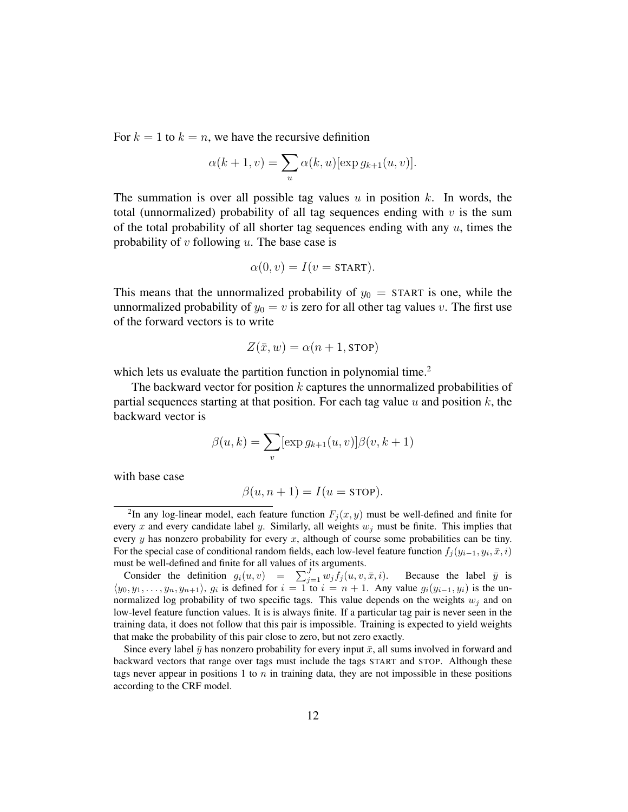For  $k = 1$  to  $k = n$ , we have the recursive definition

$$
\alpha(k+1,v) = \sum_{u} \alpha(k,u) [\exp g_{k+1}(u,v)].
$$

The summation is over all possible tag values  $u$  in position  $k$ . In words, the total (unnormalized) probability of all tag sequences ending with  $v$  is the sum of the total probability of all shorter tag sequences ending with any  $u$ , times the probability of  $v$  following  $u$ . The base case is

$$
\alpha(0, v) = I(v = \text{START}).
$$

This means that the unnormalized probability of  $y_0 =$  START is one, while the unnormalized probability of  $y_0 = v$  is zero for all other tag values v. The first use of the forward vectors is to write

$$
Z(\bar{x}, w) = \alpha(n + 1, \text{STOP})
$$

which lets us evaluate the partition function in polynomial time.<sup>2</sup>

The backward vector for position  $k$  captures the unnormalized probabilities of partial sequences starting at that position. For each tag value u and position  $k$ , the backward vector is

$$
\beta(u,k) = \sum_{v} [\exp g_{k+1}(u,v)] \beta(v,k+1)
$$

with base case

$$
\beta(u, n+1) = I(u = \text{STOP}).
$$

<sup>&</sup>lt;sup>2</sup>In any log-linear model, each feature function  $F_j(x, y)$  must be well-defined and finite for every x and every candidate label y. Similarly, all weights  $w_j$  must be finite. This implies that every  $y$  has nonzero probability for every  $x$ , although of course some probabilities can be tiny. For the special case of conditional random fields, each low-level feature function  $f_j(y_{i-1}, y_i, \bar{x}, i)$ must be well-defined and finite for all values of its arguments.

Consider the definition  $g_i(u, v) = \sum_{j=1}^J w_j f_j(u, v, \bar{x}, i)$ . Because the label  $\bar{y}$  is  $\langle y_0, y_1, \ldots, y_n, y_{n+1} \rangle$ ,  $g_i$  is defined for  $i = 1$  to  $i = n + 1$ . Any value  $g_i(y_{i-1}, y_i)$  is the unnormalized log probability of two specific tags. This value depends on the weights  $w_j$  and on low-level feature function values. It is is always finite. If a particular tag pair is never seen in the training data, it does not follow that this pair is impossible. Training is expected to yield weights that make the probability of this pair close to zero, but not zero exactly.

Since every label  $\bar{y}$  has nonzero probability for every input  $\bar{x}$ , all sums involved in forward and backward vectors that range over tags must include the tags START and STOP. Although these tags never appear in positions 1 to  $n$  in training data, they are not impossible in these positions according to the CRF model.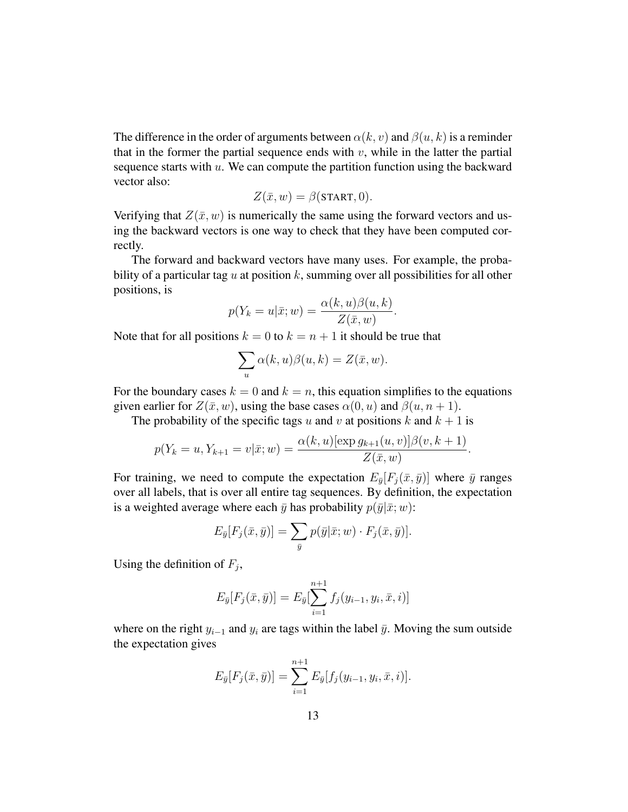The difference in the order of arguments between  $\alpha(k, v)$  and  $\beta(u, k)$  is a reminder that in the former the partial sequence ends with  $v$ , while in the latter the partial sequence starts with  $u$ . We can compute the partition function using the backward vector also:

$$
Z(\bar{x}, w) = \beta(\text{START}, 0).
$$

Verifying that  $Z(\bar{x}, w)$  is numerically the same using the forward vectors and using the backward vectors is one way to check that they have been computed correctly.

The forward and backward vectors have many uses. For example, the probability of a particular tag u at position k, summing over all possibilities for all other positions, is

$$
p(Y_k = u | \bar{x}; w) = \frac{\alpha(k, u)\beta(u, k)}{Z(\bar{x}, w)}.
$$

Note that for all positions  $k = 0$  to  $k = n + 1$  it should be true that

$$
\sum_{u} \alpha(k, u)\beta(u, k) = Z(\bar{x}, w).
$$

For the boundary cases  $k = 0$  and  $k = n$ , this equation simplifies to the equations given earlier for  $Z(\bar{x}, w)$ , using the base cases  $\alpha(0, u)$  and  $\beta(u, n + 1)$ .

The probability of the specific tags u and v at positions k and  $k + 1$  is

$$
p(Y_k = u, Y_{k+1} = v | \bar{x}; w) = \frac{\alpha(k, u) [\exp g_{k+1}(u, v)] \beta(v, k+1)}{Z(\bar{x}, w)}.
$$

For training, we need to compute the expectation  $E_{\bar{y}}[F_j(\bar{x}, \bar{y})]$  where  $\bar{y}$  ranges over all labels, that is over all entire tag sequences. By definition, the expectation is a weighted average where each  $\bar{y}$  has probability  $p(\bar{y}|\bar{x};w)$ :

$$
E_{\bar{y}}[F_j(\bar{x}, \bar{y})] = \sum_{\bar{y}} p(\bar{y}|\bar{x}; w) \cdot F_j(\bar{x}, \bar{y})].
$$

Using the definition of  $F_j$ ,

$$
E_{\bar{y}}[F_j(\bar{x}, \bar{y})] = E_{\bar{y}}[\sum_{i=1}^{n+1} f_j(y_{i-1}, y_i, \bar{x}, i)]
$$

where on the right  $y_{i-1}$  and  $y_i$  are tags within the label  $\bar{y}$ . Moving the sum outside the expectation gives

$$
E_{\bar{y}}[F_j(\bar{x}, \bar{y})] = \sum_{i=1}^{n+1} E_{\bar{y}}[f_j(y_{i-1}, y_i, \bar{x}, i)].
$$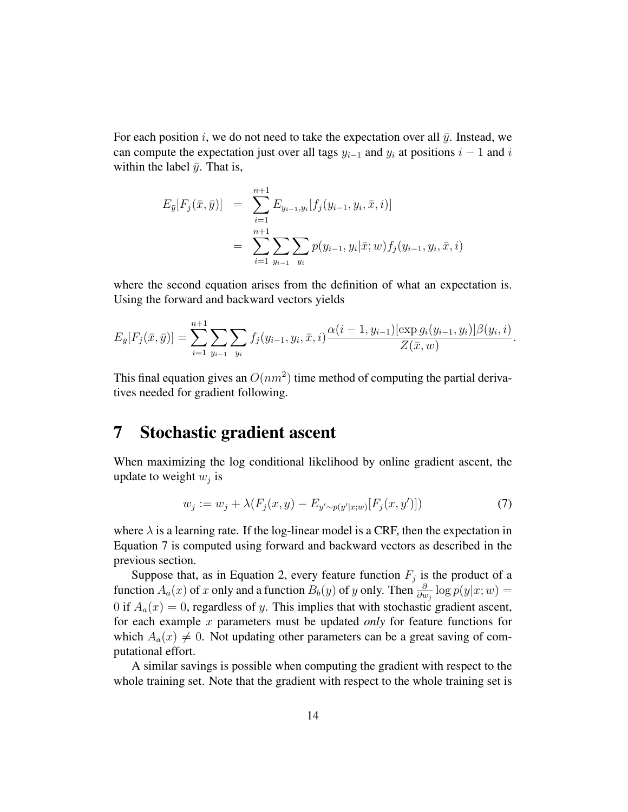For each position i, we do not need to take the expectation over all  $\bar{y}$ . Instead, we can compute the expectation just over all tags  $y_{i-1}$  and  $y_i$  at positions  $i-1$  and i within the label  $\bar{y}$ . That is,

$$
E_{\bar{y}}[F_j(\bar{x}, \bar{y})] = \sum_{i=1}^{n+1} E_{y_{i-1}, y_i}[f_j(y_{i-1}, y_i, \bar{x}, i)]
$$
  
= 
$$
\sum_{i=1}^{n+1} \sum_{y_{i-1}} \sum_{y_i} p(y_{i-1}, y_i | \bar{x}; w) f_j(y_{i-1}, y_i, \bar{x}, i)
$$

where the second equation arises from the definition of what an expectation is. Using the forward and backward vectors yields

$$
E_{\bar{y}}[F_j(\bar{x}, \bar{y})] = \sum_{i=1}^{n+1} \sum_{y_{i-1}} \sum_{y_i} f_j(y_{i-1}, y_i, \bar{x}, i) \frac{\alpha(i-1, y_{i-1})[\exp g_i(y_{i-1}, y_i)] \beta(y_i, i)}{Z(\bar{x}, w)}.
$$

This final equation gives an  $O(nm^2)$  time method of computing the partial derivatives needed for gradient following.

#### 7 Stochastic gradient ascent

When maximizing the log conditional likelihood by online gradient ascent, the update to weight  $w_j$  is

$$
w_j := w_j + \lambda(F_j(x, y) - E_{y' \sim p(y'|x;w)}[F_j(x, y')])
$$
\n(7)

where  $\lambda$  is a learning rate. If the log-linear model is a CRF, then the expectation in Equation 7 is computed using forward and backward vectors as described in the previous section.

Suppose that, as in Equation 2, every feature function  $F_j$  is the product of a function  $A_a(x)$  of x only and a function  $B_b(y)$  of y only. Then  $\frac{\partial}{\partial w_j} \log p(y|x;w) =$ 0 if  $A_a(x) = 0$ , regardless of y. This implies that with stochastic gradient ascent, for each example x parameters must be updated *only* for feature functions for which  $A_a(x) \neq 0$ . Not updating other parameters can be a great saving of computational effort.

A similar savings is possible when computing the gradient with respect to the whole training set. Note that the gradient with respect to the whole training set is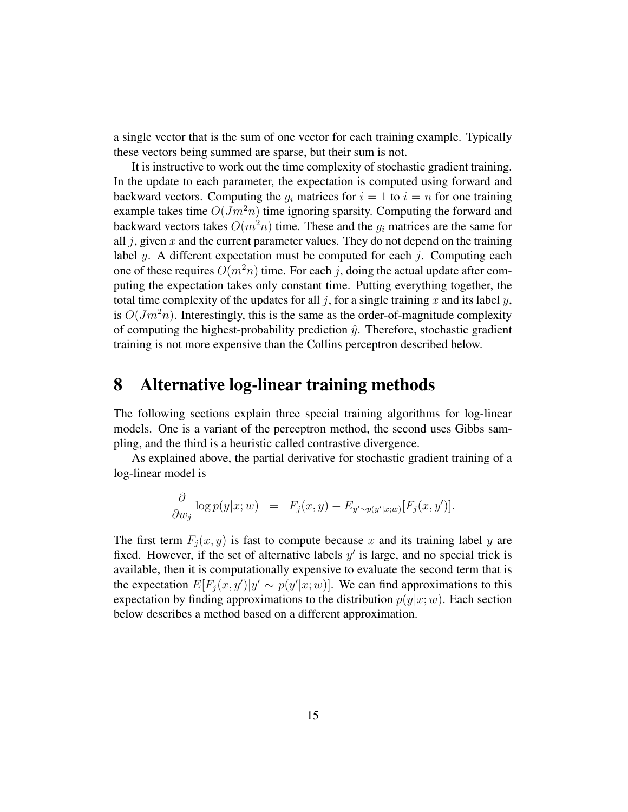a single vector that is the sum of one vector for each training example. Typically these vectors being summed are sparse, but their sum is not.

It is instructive to work out the time complexity of stochastic gradient training. In the update to each parameter, the expectation is computed using forward and backward vectors. Computing the  $g_i$  matrices for  $i = 1$  to  $i = n$  for one training example takes time  $O(Jm^2n)$  time ignoring sparsity. Computing the forward and backward vectors takes  $O(m^2n)$  time. These and the  $g_i$  matrices are the same for all  $j$ , given  $x$  and the current parameter values. They do not depend on the training label y. A different expectation must be computed for each  $j$ . Computing each one of these requires  $O(m^2n)$  time. For each j, doing the actual update after computing the expectation takes only constant time. Putting everything together, the total time complexity of the updates for all j, for a single training x and its label y, is  $O(Jm^2n)$ . Interestingly, this is the same as the order-of-magnitude complexity of computing the highest-probability prediction  $\hat{y}$ . Therefore, stochastic gradient training is not more expensive than the Collins perceptron described below.

# 8 Alternative log-linear training methods

The following sections explain three special training algorithms for log-linear models. One is a variant of the perceptron method, the second uses Gibbs sampling, and the third is a heuristic called contrastive divergence.

As explained above, the partial derivative for stochastic gradient training of a log-linear model is

$$
\frac{\partial}{\partial w_j}\log p(y|x;w) = F_j(x,y) - E_{y' \sim p(y'|x;w)}[F_j(x,y')].
$$

The first term  $F_i(x, y)$  is fast to compute because x and its training label y are fixed. However, if the set of alternative labels  $y'$  is large, and no special trick is available, then it is computationally expensive to evaluate the second term that is the expectation  $E[F_j(x, y')|y' \sim p(y'|x; w)]$ . We can find approximations to this expectation by finding approximations to the distribution  $p(y|x;w)$ . Each section below describes a method based on a different approximation.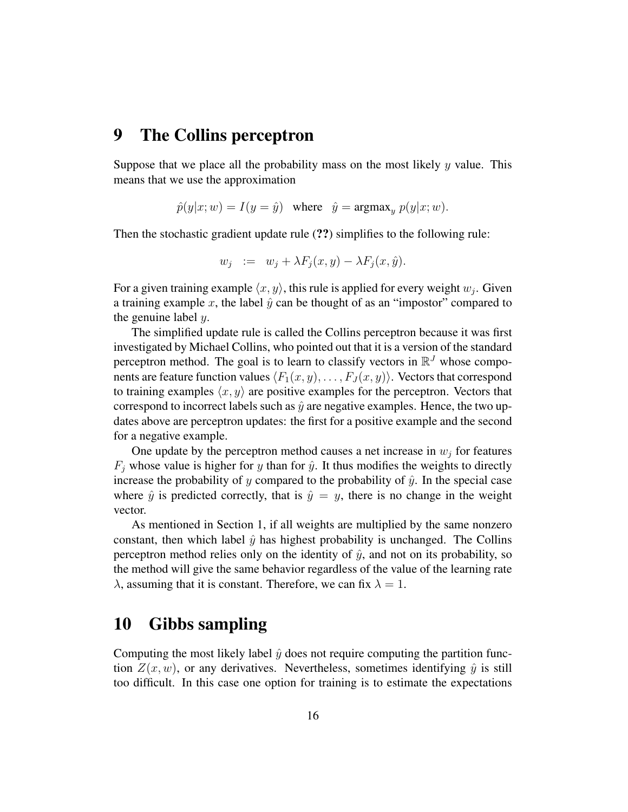## 9 The Collins perceptron

Suppose that we place all the probability mass on the most likely y value. This means that we use the approximation

$$
\hat{p}(y|x;w) = I(y = \hat{y}) \quad \text{where} \quad \hat{y} = \text{argmax}_y \ p(y|x;w).
$$

Then the stochastic gradient update rule (??) simplifies to the following rule:

$$
w_j := w_j + \lambda F_j(x, y) - \lambda F_j(x, \hat{y}).
$$

For a given training example  $\langle x, y \rangle$ , this rule is applied for every weight  $w_j$ . Given a training example x, the label  $\hat{y}$  can be thought of as an "impostor" compared to the genuine label  $y$ .

The simplified update rule is called the Collins perceptron because it was first investigated by Michael Collins, who pointed out that it is a version of the standard perceptron method. The goal is to learn to classify vectors in  $\mathbb{R}^{J}$  whose components are feature function values  $\langle F_1(x, y), \ldots, F_J(x, y)\rangle$ . Vectors that correspond to training examples  $\langle x, y \rangle$  are positive examples for the perceptron. Vectors that correspond to incorrect labels such as  $\hat{y}$  are negative examples. Hence, the two updates above are perceptron updates: the first for a positive example and the second for a negative example.

One update by the perceptron method causes a net increase in  $w_i$  for features  $F_i$  whose value is higher for y than for  $\hat{y}$ . It thus modifies the weights to directly increase the probability of y compared to the probability of  $\hat{y}$ . In the special case where  $\hat{y}$  is predicted correctly, that is  $\hat{y} = y$ , there is no change in the weight vector.

As mentioned in Section 1, if all weights are multiplied by the same nonzero constant, then which label  $\hat{y}$  has highest probability is unchanged. The Collins perceptron method relies only on the identity of  $\hat{y}$ , and not on its probability, so the method will give the same behavior regardless of the value of the learning rate  $\lambda$ , assuming that it is constant. Therefore, we can fix  $\lambda = 1$ .

## 10 Gibbs sampling

Computing the most likely label  $\hat{y}$  does not require computing the partition function  $Z(x, w)$ , or any derivatives. Nevertheless, sometimes identifying  $\hat{y}$  is still too difficult. In this case one option for training is to estimate the expectations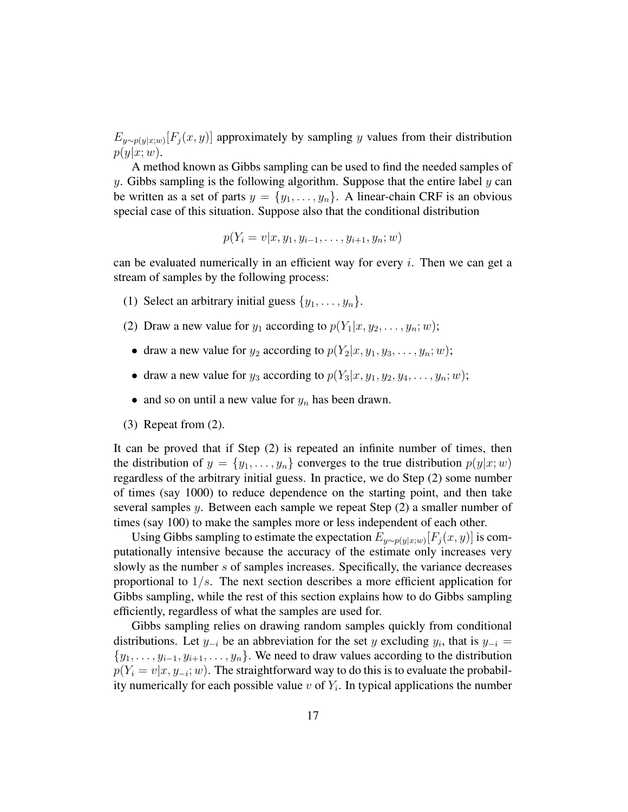$E_{y \sim p(y|x;w)}[F_j(x, y)]$  approximately by sampling y values from their distribution  $p(y|x;w)$ .

A method known as Gibbs sampling can be used to find the needed samples of y. Gibbs sampling is the following algorithm. Suppose that the entire label  $y$  can be written as a set of parts  $y = \{y_1, \ldots, y_n\}$ . A linear-chain CRF is an obvious special case of this situation. Suppose also that the conditional distribution

$$
p(Y_i = v | x, y_1, y_{i-1}, \dots, y_{i+1}, y_n; w)
$$

can be evaluated numerically in an efficient way for every  $i$ . Then we can get a stream of samples by the following process:

- (1) Select an arbitrary initial guess  $\{y_1, \ldots, y_n\}$ .
- (2) Draw a new value for  $y_1$  according to  $p(Y_1|x, y_2, \ldots, y_n; w)$ ;
	- draw a new value for  $y_2$  according to  $p(Y_2|x, y_1, y_3, \ldots, y_n; w)$ ;
	- draw a new value for  $y_3$  according to  $p(Y_3|x, y_1, y_2, y_4, \ldots, y_n; w)$ ;
	- and so on until a new value for  $y_n$  has been drawn.
- (3) Repeat from (2).

It can be proved that if Step (2) is repeated an infinite number of times, then the distribution of  $y = \{y_1, \ldots, y_n\}$  converges to the true distribution  $p(y|x; w)$ regardless of the arbitrary initial guess. In practice, we do Step (2) some number of times (say 1000) to reduce dependence on the starting point, and then take several samples  $y$ . Between each sample we repeat Step  $(2)$  a smaller number of times (say 100) to make the samples more or less independent of each other.

Using Gibbs sampling to estimate the expectation  $E_{y \sim p(y|x;w)}[F_j(x,y)]$  is computationally intensive because the accuracy of the estimate only increases very slowly as the number s of samples increases. Specifically, the variance decreases proportional to  $1/s$ . The next section describes a more efficient application for Gibbs sampling, while the rest of this section explains how to do Gibbs sampling efficiently, regardless of what the samples are used for.

Gibbs sampling relies on drawing random samples quickly from conditional distributions. Let  $y_{-i}$  be an abbreviation for the set y excluding  $y_i$ , that is  $y_{-i}$  =  $\{y_1, \ldots, y_{i-1}, y_{i+1}, \ldots, y_n\}$ . We need to draw values according to the distribution  $p(Y_i = v | x, y_{-i}; w)$ . The straightforward way to do this is to evaluate the probability numerically for each possible value  $v$  of  $Y_i$ . In typical applications the number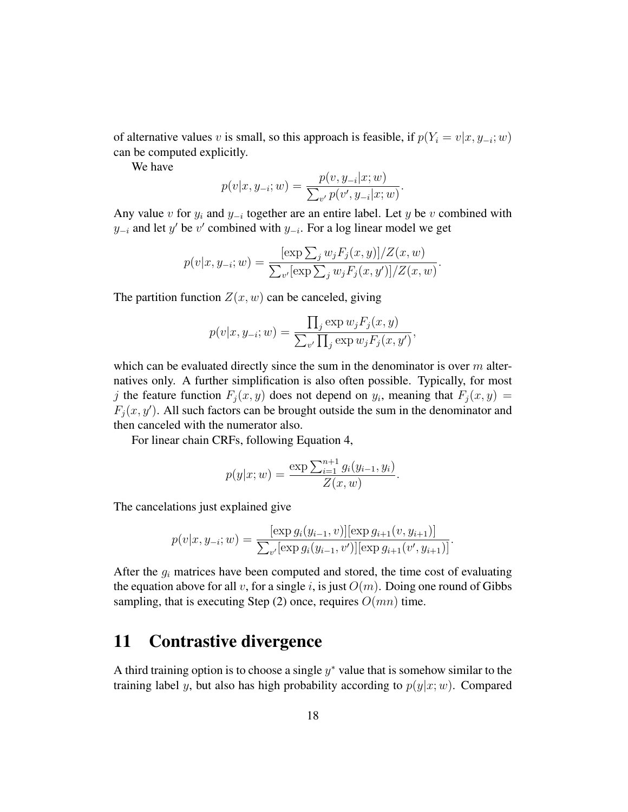of alternative values v is small, so this approach is feasible, if  $p(Y_i = v | x, y_{-i}; w)$ can be computed explicitly.

We have

$$
p(v|x, y_{-i}; w) = \frac{p(v, y_{-i}|x; w)}{\sum_{v'} p(v', y_{-i}|x; w)}.
$$

Any value v for  $y_i$  and  $y_{-i}$  together are an entire label. Let y be v combined with  $y_{-i}$  and let y' be v' combined with  $y_{-i}$ . For a log linear model we get

$$
p(v|x, y_{-i}; w) = \frac{[\exp \sum_{j} w_{j} F_{j}(x, y)] / Z(x, w)}{\sum_{v'} [\exp \sum_{j} w_{j} F_{j}(x, y')] / Z(x, w)}.
$$

The partition function  $Z(x, w)$  can be canceled, giving

$$
p(v|x, y_{-i}; w) = \frac{\prod_j \exp w_j F_j(x, y)}{\sum_{v'} \prod_j \exp w_j F_j(x, y')},
$$

which can be evaluated directly since the sum in the denominator is over  $m$  alternatives only. A further simplification is also often possible. Typically, for most j the feature function  $F_j(x, y)$  does not depend on  $y_i$ , meaning that  $F_j(x, y) =$  $F_j(x, y')$ . All such factors can be brought outside the sum in the denominator and then canceled with the numerator also.

For linear chain CRFs, following Equation 4,

$$
p(y|x; w) = \frac{\exp \sum_{i=1}^{n+1} g_i(y_{i-1}, y_i)}{Z(x, w)}.
$$

The cancelations just explained give

$$
p(v|x, y_{-i}; w) = \frac{[\exp g_i(y_{i-1}, v)][\exp g_{i+1}(v, y_{i+1})]}{\sum_{v'}[\exp g_i(y_{i-1}, v')][\exp g_{i+1}(v', y_{i+1})]}.
$$

After the  $g_i$  matrices have been computed and stored, the time cost of evaluating the equation above for all v, for a single i, is just  $O(m)$ . Doing one round of Gibbs sampling, that is executing Step (2) once, requires  $O(mn)$  time.

# 11 Contrastive divergence

A third training option is to choose a single  $y^*$  value that is somehow similar to the training label y, but also has high probability according to  $p(y|x;w)$ . Compared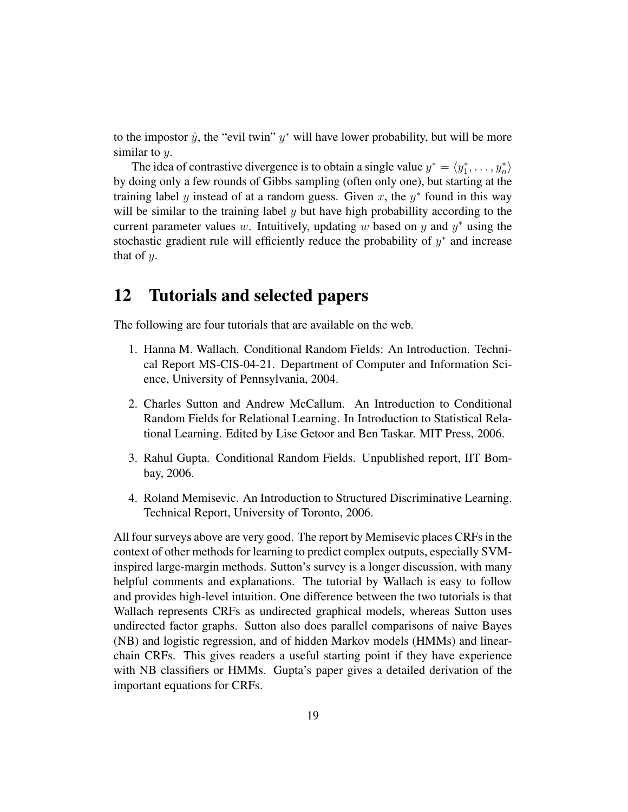to the impostor  $\hat{y}$ , the "evil twin"  $y^*$  will have lower probability, but will be more similar to  $y$ .

The idea of contrastive divergence is to obtain a single value  $y^* = \langle y_1^*, \dots, y_n^* \rangle$ by doing only a few rounds of Gibbs sampling (often only one), but starting at the training label y instead of at a random guess. Given x, the  $y^*$  found in this way will be similar to the training label  $y$  but have high probabillity according to the current parameter values w. Intuitively, updating w based on y and  $y^*$  using the stochastic gradient rule will efficiently reduce the probability of  $y^*$  and increase that of  $y$ .

## 12 Tutorials and selected papers

The following are four tutorials that are available on the web.

- 1. Hanna M. Wallach. Conditional Random Fields: An Introduction. Technical Report MS-CIS-04-21. Department of Computer and Information Science, University of Pennsylvania, 2004.
- 2. Charles Sutton and Andrew McCallum. An Introduction to Conditional Random Fields for Relational Learning. In Introduction to Statistical Relational Learning. Edited by Lise Getoor and Ben Taskar. MIT Press, 2006.
- 3. Rahul Gupta. Conditional Random Fields. Unpublished report, IIT Bombay, 2006.
- 4. Roland Memisevic. An Introduction to Structured Discriminative Learning. Technical Report, University of Toronto, 2006.

All four surveys above are very good. The report by Memisevic places CRFs in the context of other methods for learning to predict complex outputs, especially SVMinspired large-margin methods. Sutton's survey is a longer discussion, with many helpful comments and explanations. The tutorial by Wallach is easy to follow and provides high-level intuition. One difference between the two tutorials is that Wallach represents CRFs as undirected graphical models, whereas Sutton uses undirected factor graphs. Sutton also does parallel comparisons of naive Bayes (NB) and logistic regression, and of hidden Markov models (HMMs) and linearchain CRFs. This gives readers a useful starting point if they have experience with NB classifiers or HMMs. Gupta's paper gives a detailed derivation of the important equations for CRFs.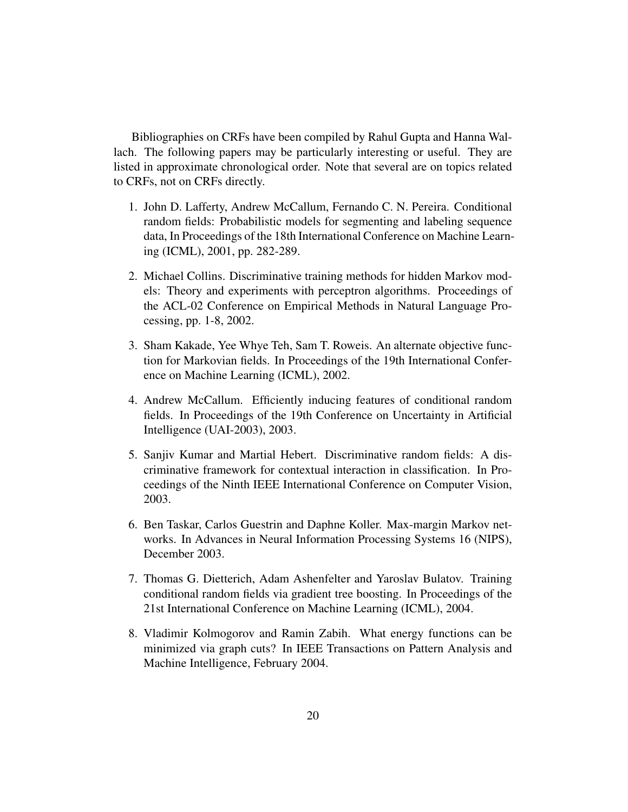Bibliographies on CRFs have been compiled by Rahul Gupta and Hanna Wallach. The following papers may be particularly interesting or useful. They are listed in approximate chronological order. Note that several are on topics related to CRFs, not on CRFs directly.

- 1. John D. Lafferty, Andrew McCallum, Fernando C. N. Pereira. Conditional random fields: Probabilistic models for segmenting and labeling sequence data, In Proceedings of the 18th International Conference on Machine Learning (ICML), 2001, pp. 282-289.
- 2. Michael Collins. Discriminative training methods for hidden Markov models: Theory and experiments with perceptron algorithms. Proceedings of the ACL-02 Conference on Empirical Methods in Natural Language Processing, pp. 1-8, 2002.
- 3. Sham Kakade, Yee Whye Teh, Sam T. Roweis. An alternate objective function for Markovian fields. In Proceedings of the 19th International Conference on Machine Learning (ICML), 2002.
- 4. Andrew McCallum. Efficiently inducing features of conditional random fields. In Proceedings of the 19th Conference on Uncertainty in Artificial Intelligence (UAI-2003), 2003.
- 5. Sanjiv Kumar and Martial Hebert. Discriminative random fields: A discriminative framework for contextual interaction in classification. In Proceedings of the Ninth IEEE International Conference on Computer Vision, 2003.
- 6. Ben Taskar, Carlos Guestrin and Daphne Koller. Max-margin Markov networks. In Advances in Neural Information Processing Systems 16 (NIPS), December 2003.
- 7. Thomas G. Dietterich, Adam Ashenfelter and Yaroslav Bulatov. Training conditional random fields via gradient tree boosting. In Proceedings of the 21st International Conference on Machine Learning (ICML), 2004.
- 8. Vladimir Kolmogorov and Ramin Zabih. What energy functions can be minimized via graph cuts? In IEEE Transactions on Pattern Analysis and Machine Intelligence, February 2004.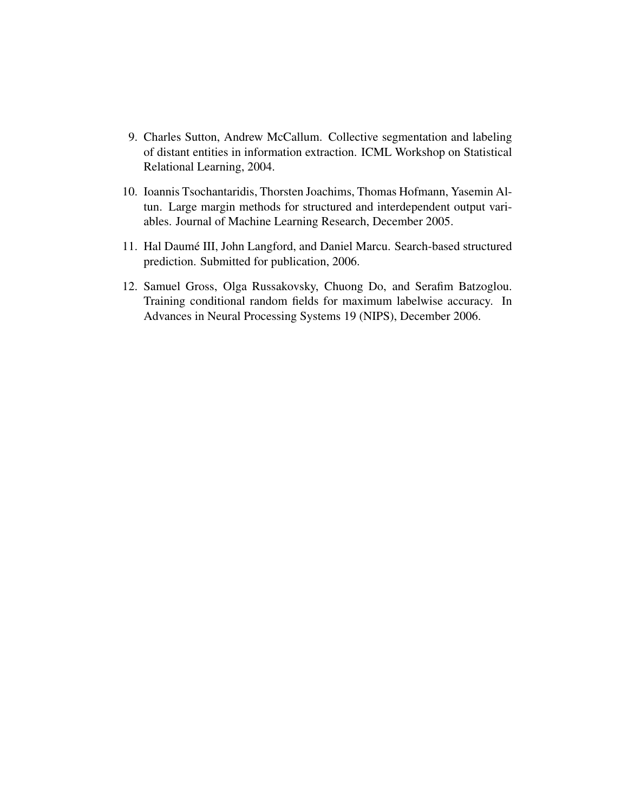- 9. Charles Sutton, Andrew McCallum. Collective segmentation and labeling of distant entities in information extraction. ICML Workshop on Statistical Relational Learning, 2004.
- 10. Ioannis Tsochantaridis, Thorsten Joachims, Thomas Hofmann, Yasemin Altun. Large margin methods for structured and interdependent output variables. Journal of Machine Learning Research, December 2005.
- 11. Hal Daumé III, John Langford, and Daniel Marcu. Search-based structured prediction. Submitted for publication, 2006.
- 12. Samuel Gross, Olga Russakovsky, Chuong Do, and Serafim Batzoglou. Training conditional random fields for maximum labelwise accuracy. In Advances in Neural Processing Systems 19 (NIPS), December 2006.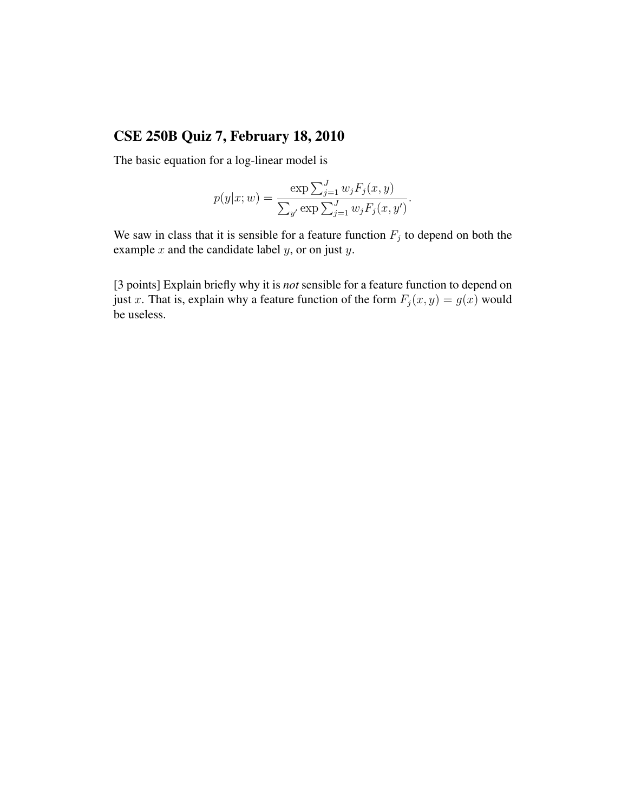# CSE 250B Quiz 7, February 18, 2010

The basic equation for a log-linear model is

$$
p(y|x; w) = \frac{\exp \sum_{j=1}^{J} w_j F_j(x, y)}{\sum_{y'} \exp \sum_{j=1}^{J} w_j F_j(x, y')}.
$$

We saw in class that it is sensible for a feature function  $F_j$  to depend on both the example  $x$  and the candidate label  $y$ , or on just  $y$ .

[3 points] Explain briefly why it is *not* sensible for a feature function to depend on just x. That is, explain why a feature function of the form  $F_j(x, y) = g(x)$  would be useless.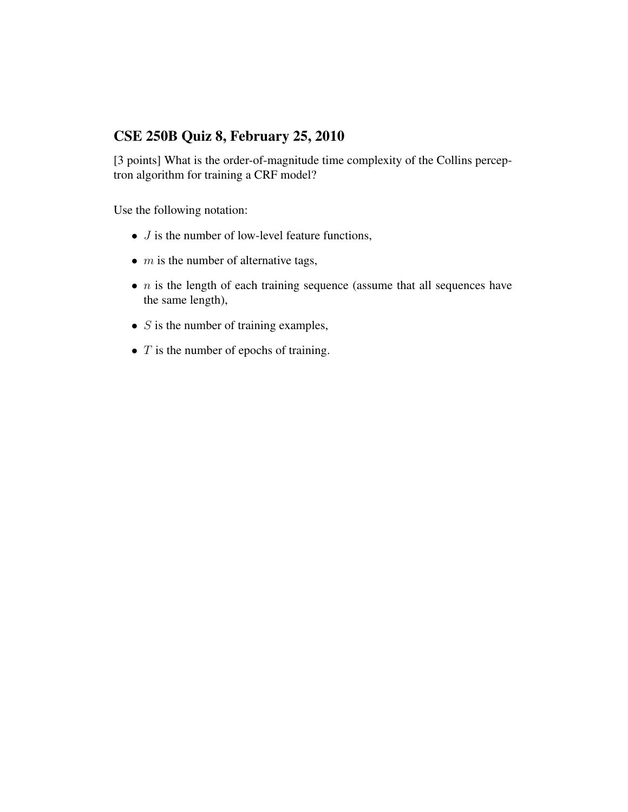#### CSE 250B Quiz 8, February 25, 2010

[3 points] What is the order-of-magnitude time complexity of the Collins perceptron algorithm for training a CRF model?

Use the following notation:

- $\bullet$  *J* is the number of low-level feature functions,
- $\bullet$  *m* is the number of alternative tags,
- $n$  is the length of each training sequence (assume that all sequences have the same length),
- $S$  is the number of training examples,
- $T$  is the number of epochs of training.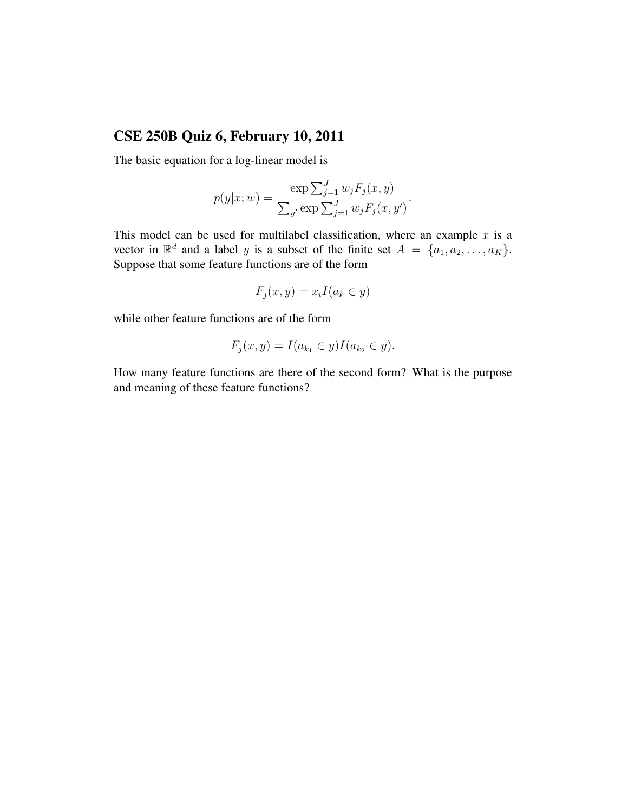#### CSE 250B Quiz 6, February 10, 2011

The basic equation for a log-linear model is

$$
p(y|x; w) = \frac{\exp \sum_{j=1}^{J} w_j F_j(x, y)}{\sum_{y'} \exp \sum_{j=1}^{J} w_j F_j(x, y')}.
$$

This model can be used for multilabel classification, where an example  $x$  is a vector in  $\mathbb{R}^d$  and a label y is a subset of the finite set  $A = \{a_1, a_2, \ldots, a_K\}.$ Suppose that some feature functions are of the form

$$
F_j(x, y) = x_i I(a_k \in y)
$$

while other feature functions are of the form

$$
F_j(x, y) = I(a_{k_1} \in y)I(a_{k_2} \in y).
$$

How many feature functions are there of the second form? What is the purpose and meaning of these feature functions?